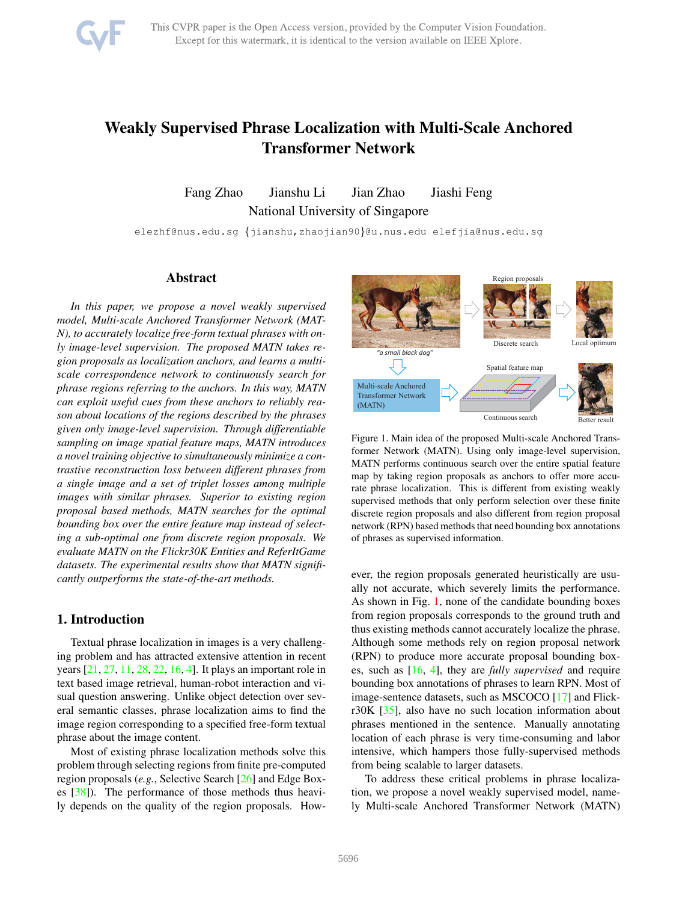

# <span id="page-0-1"></span>Weakly Supervised Phrase Localization with Multi-Scale Anchored Transformer Network

Fang Zhao Jianshu Li Jian Zhao Jiashi Feng National University of Singapore

elezhf@nus.edu.sg {jianshu,zhaojian90}@u.nus.edu elefjia@nus.edu.sg

## Abstract

*In this paper, we propose a novel weakly supervised model, Multi-scale Anchored Transformer Network (MAT-N), to accurately localize free-form textual phrases with only image-level supervision. The proposed MATN takes region proposals as localization anchors, and learns a multiscale correspondence network to continuously search for phrase regions referring to the anchors. In this way, MATN can exploit useful cues from these anchors to reliably reason about locations of the regions described by the phrases given only image-level supervision. Through differentiable sampling on image spatial feature maps, MATN introduces a novel training objective to simultaneously minimize a contrastive reconstruction loss between different phrases from a single image and a set of triplet losses among multiple images with similar phrases. Superior to existing region proposal based methods, MATN searches for the optimal bounding box over the entire feature map instead of selecting a sub-optimal one from discrete region proposals. We evaluate MATN on the Flickr30K Entities and ReferItGame datasets. The experimental results show that MATN significantly outperforms the state-of-the-art methods.*

# 1. Introduction

Textual phrase localization in images is a very challenging problem and has attracted extensive attention in recent years [\[21,](#page-8-0) [27,](#page-8-1) [11,](#page-8-2) [28,](#page-8-3) [22,](#page-8-4) [16,](#page-8-5) [4\]](#page-8-6). It plays an important role in text based image retrieval, human-robot interaction and visual question answering. Unlike object detection over several semantic classes, phrase localization aims to find the image region corresponding to a specified free-form textual phrase about the image content.

Most of existing phrase localization methods solve this problem through selecting regions from finite pre-computed region proposals (*e.g.*, Selective Search [\[26\]](#page-8-7) and Edge Boxes [\[38\]](#page-9-0)). The performance of those methods thus heavily depends on the quality of the region proposals. How-



<span id="page-0-0"></span>Figure 1. Main idea of the proposed Multi-scale Anchored Transformer Network (MATN). Using only image-level supervision, MATN performs continuous search over the entire spatial feature map by taking region proposals as anchors to offer more accurate phrase localization. This is different from existing weakly supervised methods that only perform selection over these finite discrete region proposals and also different from region proposal network (RPN) based methods that need bounding box annotations of phrases as supervised information.

ever, the region proposals generated heuristically are usually not accurate, which severely limits the performance. As shown in Fig. [1,](#page-0-0) none of the candidate bounding boxes from region proposals corresponds to the ground truth and thus existing methods cannot accurately localize the phrase. Although some methods rely on region proposal network (RPN) to produce more accurate proposal bounding boxes, such as [\[16,](#page-8-5) [4\]](#page-8-6), they are *fully supervised* and require bounding box annotations of phrases to learn RPN. Most of image-sentence datasets, such as MSCOCO [\[17\]](#page-8-8) and Flickr30K  $[35]$ , also have no such location information about phrases mentioned in the sentence. Manually annotating location of each phrase is very time-consuming and labor intensive, which hampers those fully-supervised methods from being scalable to larger datasets.

To address these critical problems in phrase localization, we propose a novel weakly supervised model, namely Multi-scale Anchored Transformer Network (MATN)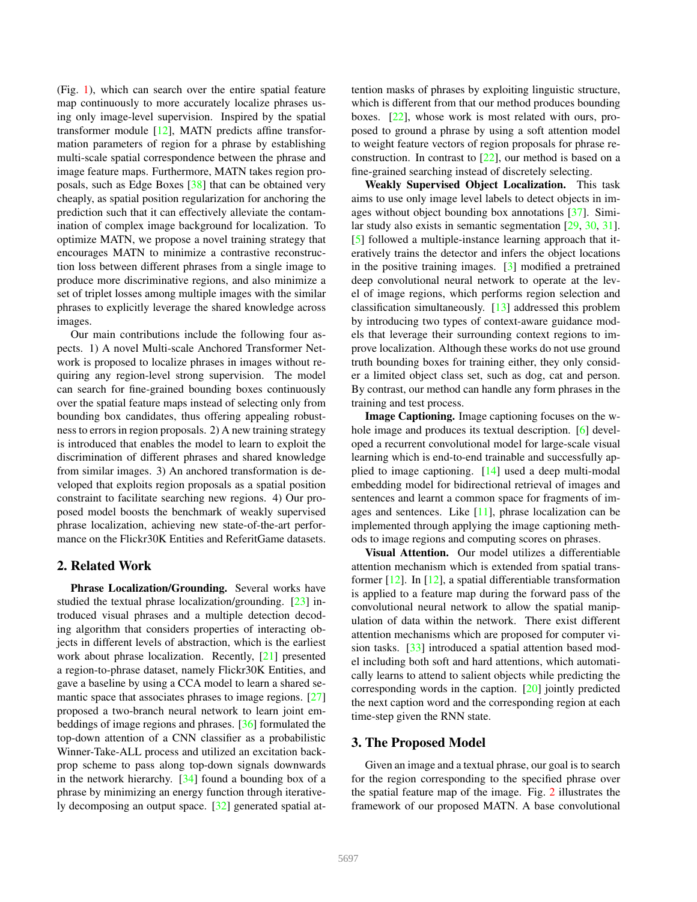<span id="page-1-0"></span>(Fig. [1\)](#page-0-0), which can search over the entire spatial feature map continuously to more accurately localize phrases using only image-level supervision. Inspired by the spatial transformer module [\[12\]](#page-8-9), MATN predicts affine transformation parameters of region for a phrase by establishing multi-scale spatial correspondence between the phrase and image feature maps. Furthermore, MATN takes region proposals, such as Edge Boxes [\[38\]](#page-9-0) that can be obtained very cheaply, as spatial position regularization for anchoring the prediction such that it can effectively alleviate the contamination of complex image background for localization. To optimize MATN, we propose a novel training strategy that encourages MATN to minimize a contrastive reconstruction loss between different phrases from a single image to produce more discriminative regions, and also minimize a set of triplet losses among multiple images with the similar phrases to explicitly leverage the shared knowledge across images.

Our main contributions include the following four aspects. 1) A novel Multi-scale Anchored Transformer Network is proposed to localize phrases in images without requiring any region-level strong supervision. The model can search for fine-grained bounding boxes continuously over the spatial feature maps instead of selecting only from bounding box candidates, thus offering appealing robustness to errors in region proposals. 2) A new training strategy is introduced that enables the model to learn to exploit the discrimination of different phrases and shared knowledge from similar images. 3) An anchored transformation is developed that exploits region proposals as a spatial position constraint to facilitate searching new regions. 4) Our proposed model boosts the benchmark of weakly supervised phrase localization, achieving new state-of-the-art performance on the Flickr30K Entities and ReferitGame datasets.

# 2. Related Work

Phrase Localization/Grounding. Several works have studied the textual phrase localization/grounding. [\[23\]](#page-8-10) introduced visual phrases and a multiple detection decoding algorithm that considers properties of interacting objects in different levels of abstraction, which is the earliest work about phrase localization. Recently, [\[21\]](#page-8-0) presented a region-to-phrase dataset, namely Flickr30K Entities, and gave a baseline by using a CCA model to learn a shared se-mantic space that associates phrases to image regions. [\[27\]](#page-8-1) proposed a two-branch neural network to learn joint embeddings of image regions and phrases. [\[36\]](#page-9-2) formulated the top-down attention of a CNN classifier as a probabilistic Winner-Take-ALL process and utilized an excitation backprop scheme to pass along top-down signals downwards in the network hierarchy. [\[34\]](#page-8-11) found a bounding box of a phrase by minimizing an energy function through iteratively decomposing an output space. [\[32\]](#page-8-12) generated spatial attention masks of phrases by exploiting linguistic structure, which is different from that our method produces bounding boxes. [\[22\]](#page-8-4), whose work is most related with ours, proposed to ground a phrase by using a soft attention model to weight feature vectors of region proposals for phrase reconstruction. In contrast to [\[22\]](#page-8-4), our method is based on a fine-grained searching instead of discretely selecting.

Weakly Supervised Object Localization. This task aims to use only image level labels to detect objects in images without object bounding box annotations [\[37\]](#page-9-3). Similar study also exists in semantic segmentation [\[29,](#page-8-13) [30,](#page-8-14) [31\]](#page-8-15). [\[5\]](#page-8-16) followed a multiple-instance learning approach that iteratively trains the detector and infers the object locations in the positive training images. [\[3\]](#page-8-17) modified a pretrained deep convolutional neural network to operate at the level of image regions, which performs region selection and classification simultaneously. [\[13\]](#page-8-18) addressed this problem by introducing two types of context-aware guidance models that leverage their surrounding context regions to improve localization. Although these works do not use ground truth bounding boxes for training either, they only consider a limited object class set, such as dog, cat and person. By contrast, our method can handle any form phrases in the training and test process.

Image Captioning. Image captioning focuses on the w-hole image and produces its textual description. [\[6\]](#page-8-19) developed a recurrent convolutional model for large-scale visual learning which is end-to-end trainable and successfully applied to image captioning. [\[14\]](#page-8-20) used a deep multi-modal embedding model for bidirectional retrieval of images and sentences and learnt a common space for fragments of images and sentences. Like [\[11\]](#page-8-2), phrase localization can be implemented through applying the image captioning methods to image regions and computing scores on phrases.

Visual Attention. Our model utilizes a differentiable attention mechanism which is extended from spatial transformer [\[12\]](#page-8-9). In [\[12\]](#page-8-9), a spatial differentiable transformation is applied to a feature map during the forward pass of the convolutional neural network to allow the spatial manipulation of data within the network. There exist different attention mechanisms which are proposed for computer vision tasks. [\[33\]](#page-8-21) introduced a spatial attention based model including both soft and hard attentions, which automatically learns to attend to salient objects while predicting the corresponding words in the caption. [\[20\]](#page-8-22) jointly predicted the next caption word and the corresponding region at each time-step given the RNN state.

#### 3. The Proposed Model

Given an image and a textual phrase, our goal is to search for the region corresponding to the specified phrase over the spatial feature map of the image. Fig. [2](#page-2-0) illustrates the framework of our proposed MATN. A base convolutional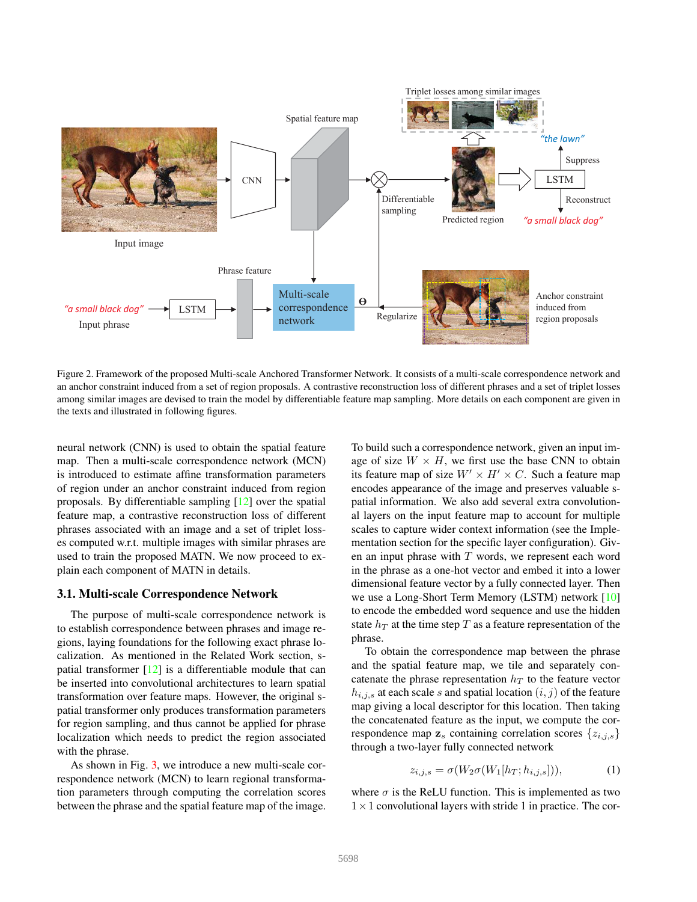<span id="page-2-1"></span>

<span id="page-2-0"></span>Figure 2. Framework of the proposed Multi-scale Anchored Transformer Network. It consists of a multi-scale correspondence network and an anchor constraint induced from a set of region proposals. A contrastive reconstruction loss of different phrases and a set of triplet losses among similar images are devised to train the model by differentiable feature map sampling. More details on each component are given in the texts and illustrated in following figures.

neural network (CNN) is used to obtain the spatial feature map. Then a multi-scale correspondence network (MCN) is introduced to estimate affine transformation parameters of region under an anchor constraint induced from region proposals. By differentiable sampling [\[12\]](#page-8-9) over the spatial feature map, a contrastive reconstruction loss of different phrases associated with an image and a set of triplet losses computed w.r.t. multiple images with similar phrases are used to train the proposed MATN. We now proceed to explain each component of MATN in details.

#### 3.1. Multi-scale Correspondence Network

The purpose of multi-scale correspondence network is to establish correspondence between phrases and image regions, laying foundations for the following exact phrase localization. As mentioned in the Related Work section, spatial transformer [\[12\]](#page-8-9) is a differentiable module that can be inserted into convolutional architectures to learn spatial transformation over feature maps. However, the original spatial transformer only produces transformation parameters for region sampling, and thus cannot be applied for phrase localization which needs to predict the region associated with the phrase.

As shown in Fig. [3,](#page-3-0) we introduce a new multi-scale correspondence network (MCN) to learn regional transformation parameters through computing the correlation scores between the phrase and the spatial feature map of the image.

To build such a correspondence network, given an input image of size  $W \times H$ , we first use the base CNN to obtain its feature map of size  $W' \times H' \times C$ . Such a feature map encodes appearance of the image and preserves valuable spatial information. We also add several extra convolutional layers on the input feature map to account for multiple scales to capture wider context information (see the Implementation section for the specific layer configuration). Given an input phrase with  $T$  words, we represent each word in the phrase as a one-hot vector and embed it into a lower dimensional feature vector by a fully connected layer. Then we use a Long-Short Term Memory (LSTM) network [\[10\]](#page-8-23) to encode the embedded word sequence and use the hidden state  $h_T$  at the time step T as a feature representation of the phrase.

To obtain the correspondence map between the phrase and the spatial feature map, we tile and separately concatenate the phrase representation  $h_T$  to the feature vector  $h_{i,j,s}$  at each scale s and spatial location  $(i, j)$  of the feature map giving a local descriptor for this location. Then taking the concatenated feature as the input, we compute the correspondence map  $z_s$  containing correlation scores  $\{z_{i,j,s}\}$ through a two-layer fully connected network

$$
z_{i,j,s} = \sigma(W_2 \sigma(W_1[h_T; h_{i,j,s}])),\tag{1}
$$

where  $\sigma$  is the ReLU function. This is implemented as two  $1 \times 1$  convolutional layers with stride 1 in practice. The cor-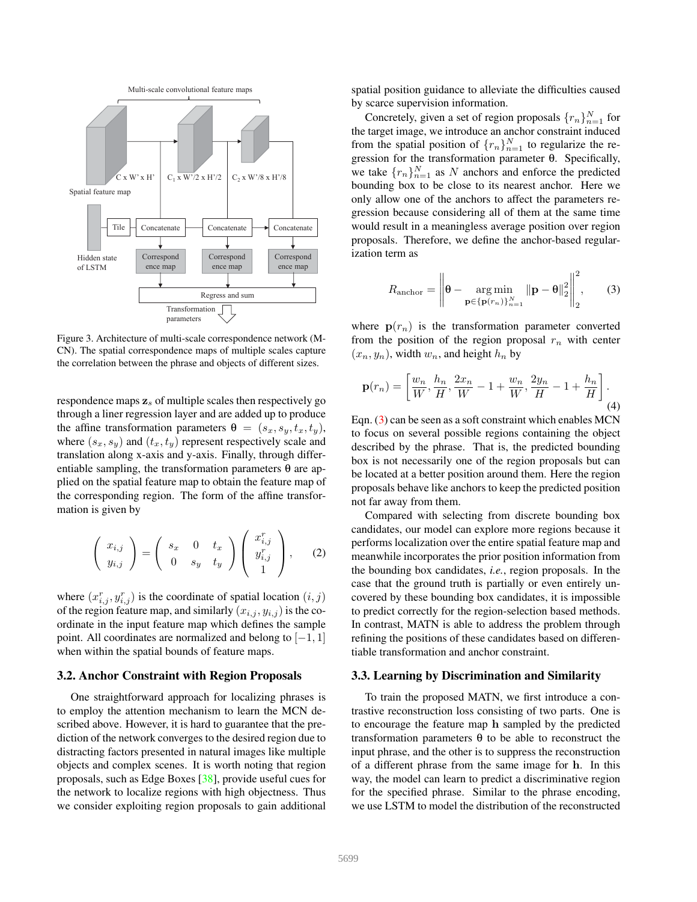<span id="page-3-4"></span>

<span id="page-3-0"></span>Figure 3. Architecture of multi-scale correspondence network (M-CN). The spatial correspondence maps of multiple scales capture the correlation between the phrase and objects of different sizes.

respondence maps  $z<sub>s</sub>$  of multiple scales then respectively go through a liner regression layer and are added up to produce the affine transformation parameters  $\theta = (s_x, s_y, t_x, t_y)$ , where  $(s_x, s_y)$  and  $(t_x, t_y)$  represent respectively scale and translation along x-axis and y-axis. Finally, through differentiable sampling, the transformation parameters  $\theta$  are applied on the spatial feature map to obtain the feature map of the corresponding region. The form of the affine transformation is given by

<span id="page-3-2"></span>
$$
\left(\begin{array}{c} x_{i,j} \\ y_{i,j} \end{array}\right) = \left(\begin{array}{ccc} s_x & 0 & t_x \\ 0 & s_y & t_y \end{array}\right) \left(\begin{array}{c} x_{i,j}^r \\ y_{i,j}^r \\ 1 \end{array}\right), \quad (2)
$$

where  $(x_{i,j}^r, y_{i,j}^r)$  is the coordinate of spatial location  $(i, j)$ of the region feature map, and similarly  $(x_{i,j}, y_{i,j})$  is the coordinate in the input feature map which defines the sample point. All coordinates are normalized and belong to  $[-1, 1]$ when within the spatial bounds of feature maps.

#### <span id="page-3-3"></span>3.2. Anchor Constraint with Region Proposals

One straightforward approach for localizing phrases is to employ the attention mechanism to learn the MCN described above. However, it is hard to guarantee that the prediction of the network converges to the desired region due to distracting factors presented in natural images like multiple objects and complex scenes. It is worth noting that region proposals, such as Edge Boxes [\[38\]](#page-9-0), provide useful cues for the network to localize regions with high objectness. Thus we consider exploiting region proposals to gain additional

spatial position guidance to alleviate the difficulties caused by scarce supervision information.

Concretely, given a set of region proposals  $\{r_n\}_{n=1}^N$  for the target image, we introduce an anchor constraint induced from the spatial position of  $\{r_n\}_{n=1}^N$  to regularize the regression for the transformation parameter θ. Specifically, we take  $\{r_n\}_{n=1}^N$  as N anchors and enforce the predicted bounding box to be close to its nearest anchor. Here we only allow one of the anchors to affect the parameters regression because considering all of them at the same time would result in a meaningless average position over region proposals. Therefore, we define the anchor-based regularization term as

<span id="page-3-1"></span>
$$
R_{\text{anchor}} = \left\| \boldsymbol{\theta} - \underset{\mathbf{p} \in \{\mathbf{p}(r_n)\}_{n=1}^N}{\arg \min} \left\| \mathbf{p} - \boldsymbol{\theta} \right\|_2^2 \right\|_2^2, \qquad (3)
$$

where  $p(r_n)$  is the transformation parameter converted from the position of the region proposal  $r_n$  with center  $(x_n, y_n)$ , width  $w_n$ , and height  $h_n$  by

$$
\mathbf{p}(r_n) = \left[ \frac{w_n}{W}, \frac{h_n}{H}, \frac{2x_n}{W} - 1 + \frac{w_n}{W}, \frac{2y_n}{H} - 1 + \frac{h_n}{H} \right].
$$
\n(4)

Eqn. [\(3\)](#page-3-1) can be seen as a soft constraint which enables MCN to focus on several possible regions containing the object described by the phrase. That is, the predicted bounding box is not necessarily one of the region proposals but can be located at a better position around them. Here the region proposals behave like anchors to keep the predicted position not far away from them.

Compared with selecting from discrete bounding box candidates, our model can explore more regions because it performs localization over the entire spatial feature map and meanwhile incorporates the prior position information from the bounding box candidates, *i.e.*, region proposals. In the case that the ground truth is partially or even entirely uncovered by these bounding box candidates, it is impossible to predict correctly for the region-selection based methods. In contrast, MATN is able to address the problem through refining the positions of these candidates based on differentiable transformation and anchor constraint.

#### 3.3. Learning by Discrimination and Similarity

To train the proposed MATN, we first introduce a contrastive reconstruction loss consisting of two parts. One is to encourage the feature map h sampled by the predicted transformation parameters θ to be able to reconstruct the input phrase, and the other is to suppress the reconstruction of a different phrase from the same image for h. In this way, the model can learn to predict a discriminative region for the specified phrase. Similar to the phrase encoding, we use LSTM to model the distribution of the reconstructed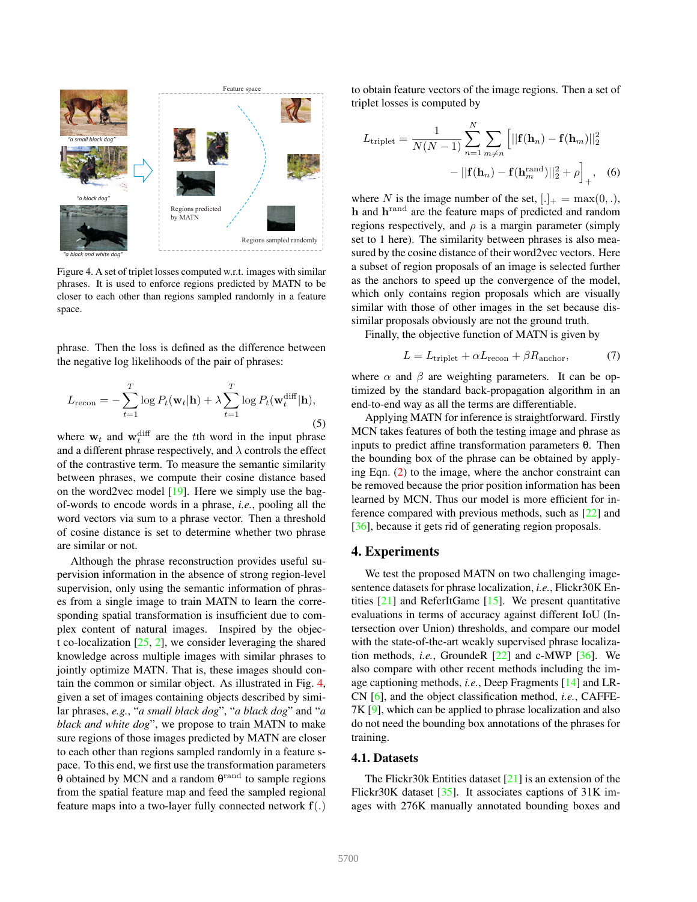<span id="page-4-2"></span>

Figure 4. A set of triplet losses computed w.r.t. images with similar phrases. It is used to enforce regions predicted by MATN to be closer to each other than regions sampled randomly in a feature space.

<span id="page-4-0"></span>phrase. Then the loss is defined as the difference between the negative log likelihoods of the pair of phrases:

$$
L_{\text{recon}} = -\sum_{t=1}^{T} \log P_t(\mathbf{w}_t | \mathbf{h}) + \lambda \sum_{t=1}^{T} \log P_t(\mathbf{w}_t^{\text{diff}} | \mathbf{h}),
$$
\n(5)

where  $w_t$  and  $w_t^{\text{diff}}$  are the tth word in the input phrase and a different phrase respectively, and  $\lambda$  controls the effect of the contrastive term. To measure the semantic similarity between phrases, we compute their cosine distance based on the word2vec model [\[19\]](#page-8-24). Here we simply use the bagof-words to encode words in a phrase, *i.e.*, pooling all the word vectors via sum to a phrase vector. Then a threshold of cosine distance is set to determine whether two phrase are similar or not.

Although the phrase reconstruction provides useful supervision information in the absence of strong region-level supervision, only using the semantic information of phrases from a single image to train MATN to learn the corresponding spatial transformation is insufficient due to complex content of natural images. Inspired by the object co-localization  $[25, 2]$  $[25, 2]$ , we consider leveraging the shared knowledge across multiple images with similar phrases to jointly optimize MATN. That is, these images should contain the common or similar object. As illustrated in Fig. [4,](#page-4-0) given a set of images containing objects described by similar phrases, *e.g.*, "*a small black dog*", "*a black dog*" and "*a black and white dog*", we propose to train MATN to make sure regions of those images predicted by MATN are closer to each other than regions sampled randomly in a feature space. To this end, we first use the transformation parameters θ obtained by MCN and a random  $θ$ <sup>rand</sup> to sample regions from the spatial feature map and feed the sampled regional feature maps into a two-layer fully connected network  $f(.)$ 

to obtain feature vectors of the image regions. Then a set of triplet losses is computed by

$$
L_{\text{triplet}} = \frac{1}{N(N-1)} \sum_{n=1}^{N} \sum_{m \neq n} \left[ ||\mathbf{f}(\mathbf{h}_n) - \mathbf{f}(\mathbf{h}_m)||_2^2 - ||\mathbf{f}(\mathbf{h}_n) - \mathbf{f}(\mathbf{h}_m^{\text{rand}})||_2^2 + \rho \right]_+, \quad (6)
$$

where N is the image number of the set,  $[.]_{+} = \max(0, .),$ h and h<sup>rand</sup> are the feature maps of predicted and random regions respectively, and  $\rho$  is a margin parameter (simply set to 1 here). The similarity between phrases is also measured by the cosine distance of their word2vec vectors. Here a subset of region proposals of an image is selected further as the anchors to speed up the convergence of the model, which only contains region proposals which are visually similar with those of other images in the set because dissimilar proposals obviously are not the ground truth.

Finally, the objective function of MATN is given by

<span id="page-4-1"></span>
$$
L = L_{\text{triplet}} + \alpha L_{\text{recon}} + \beta R_{\text{anchor}},\tag{7}
$$

where  $\alpha$  and  $\beta$  are weighting parameters. It can be optimized by the standard back-propagation algorithm in an end-to-end way as all the terms are differentiable.

Applying MATN for inference is straightforward. Firstly MCN takes features of both the testing image and phrase as inputs to predict affine transformation parameters θ. Then the bounding box of the phrase can be obtained by applying Eqn. [\(2\)](#page-3-2) to the image, where the anchor constraint can be removed because the prior position information has been learned by MCN. Thus our model is more efficient for inference compared with previous methods, such as [\[22\]](#page-8-4) and [\[36\]](#page-9-2), because it gets rid of generating region proposals.

#### 4. Experiments

We test the proposed MATN on two challenging imagesentence datasets for phrase localization, *i.e.*, Flickr30K Entities  $[21]$  and ReferItGame  $[15]$ . We present quantitative evaluations in terms of accuracy against different IoU (Intersection over Union) thresholds, and compare our model with the state-of-the-art weakly supervised phrase localization methods, *i.e.*, GroundeR [\[22\]](#page-8-4) and c-MWP [\[36\]](#page-9-2). We also compare with other recent methods including the image captioning methods, *i.e.*, Deep Fragments [\[14\]](#page-8-20) and LR-CN [\[6\]](#page-8-19), and the object classification method, *i.e.*, CAFFE-7K [\[9\]](#page-8-28), which can be applied to phrase localization and also do not need the bounding box annotations of the phrases for training.

#### 4.1. Datasets

The Flickr30k Entities dataset [\[21\]](#page-8-0) is an extension of the Flickr30K dataset [\[35\]](#page-9-1). It associates captions of 31K images with 276K manually annotated bounding boxes and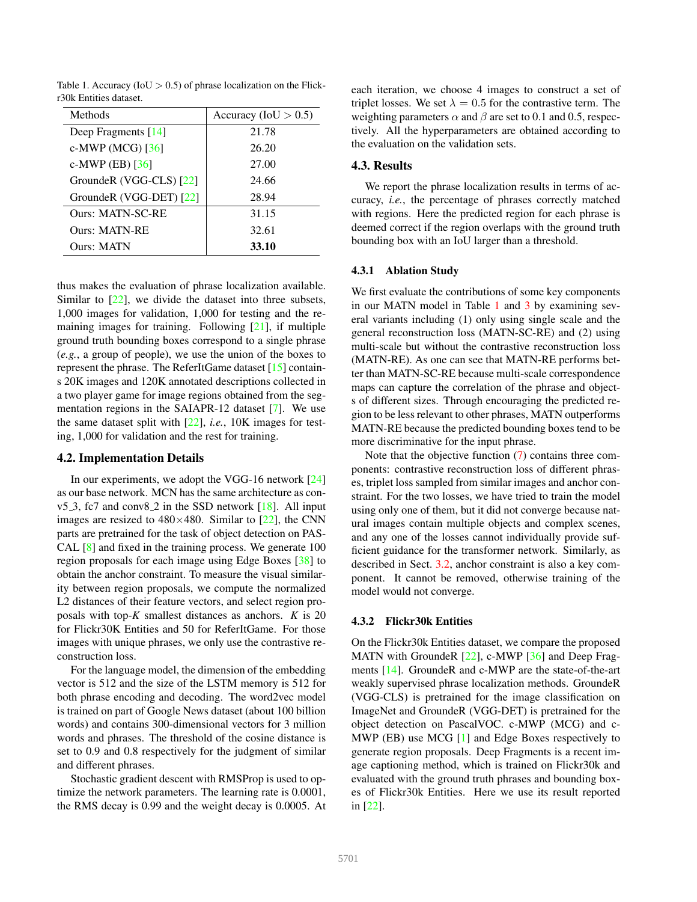| Methods                 | Accuracy (IoU $> 0.5$ ) |
|-------------------------|-------------------------|
| Deep Fragments $[14]$   | 21.78                   |
| c-MWP (MCG) $[36]$      | 26.20                   |
| c-MWP (EB) $[36]$       | 27.00                   |
| GroundeR (VGG-CLS) [22] | 24.66                   |
| GroundeR (VGG-DET) [22] | 28.94                   |
| <b>Ours: MATN-SC-RE</b> | 31.15                   |
| <b>Ours: MATN-RE</b>    | 32.61                   |
| <b>Ours: MATN</b>       | 33.10                   |

<span id="page-5-1"></span><span id="page-5-0"></span>Table 1. Accuracy (IoU  $> 0.5$ ) of phrase localization on the Flickr30k Entities dataset.

thus makes the evaluation of phrase localization available. Similar to [\[22\]](#page-8-4), we divide the dataset into three subsets, 1,000 images for validation, 1,000 for testing and the remaining images for training. Following [\[21\]](#page-8-0), if multiple ground truth bounding boxes correspond to a single phrase (*e.g.*, a group of people), we use the union of the boxes to represent the phrase. The ReferItGame dataset [\[15\]](#page-8-27) contains 20K images and 120K annotated descriptions collected in a two player game for image regions obtained from the segmentation regions in the SAIAPR-12 dataset [\[7\]](#page-8-29). We use the same dataset split with [\[22\]](#page-8-4), *i.e.*, 10K images for testing, 1,000 for validation and the rest for training.

#### 4.2. Implementation Details

In our experiments, we adopt the VGG-16 network [\[24\]](#page-8-30) as our base network. MCN has the same architecture as con $v5_3$ , fc7 and conv8<sub>-2</sub> in the SSD network  $[18]$ . All input images are resized to  $480\times480$ . Similar to [\[22\]](#page-8-4), the CNN parts are pretrained for the task of object detection on PAS-CAL [\[8\]](#page-8-32) and fixed in the training process. We generate 100 region proposals for each image using Edge Boxes [\[38\]](#page-9-0) to obtain the anchor constraint. To measure the visual similarity between region proposals, we compute the normalized L2 distances of their feature vectors, and select region proposals with top-*K* smallest distances as anchors. *K* is 20 for Flickr30K Entities and 50 for ReferItGame. For those images with unique phrases, we only use the contrastive reconstruction loss.

For the language model, the dimension of the embedding vector is 512 and the size of the LSTM memory is 512 for both phrase encoding and decoding. The word2vec model is trained on part of Google News dataset (about 100 billion words) and contains 300-dimensional vectors for 3 million words and phrases. The threshold of the cosine distance is set to 0.9 and 0.8 respectively for the judgment of similar and different phrases.

Stochastic gradient descent with RMSProp is used to optimize the network parameters. The learning rate is 0.0001, the RMS decay is 0.99 and the weight decay is 0.0005. At each iteration, we choose 4 images to construct a set of triplet losses. We set  $\lambda = 0.5$  for the contrastive term. The weighting parameters  $\alpha$  and  $\beta$  are set to 0.1 and 0.5, respectively. All the hyperparameters are obtained according to the evaluation on the validation sets.

#### 4.3. Results

We report the phrase localization results in terms of accuracy, *i.e.*, the percentage of phrases correctly matched with regions. Here the predicted region for each phrase is deemed correct if the region overlaps with the ground truth bounding box with an IoU larger than a threshold.

#### 4.3.1 Ablation Study

We first evaluate the contributions of some key components in our MATN model in Table [1](#page-5-0) and [3](#page-6-0) by examining several variants including (1) only using single scale and the general reconstruction loss (MATN-SC-RE) and (2) using multi-scale but without the contrastive reconstruction loss (MATN-RE). As one can see that MATN-RE performs better than MATN-SC-RE because multi-scale correspondence maps can capture the correlation of the phrase and objects of different sizes. Through encouraging the predicted region to be less relevant to other phrases, MATN outperforms MATN-RE because the predicted bounding boxes tend to be more discriminative for the input phrase.

Note that the objective function [\(7\)](#page-4-1) contains three components: contrastive reconstruction loss of different phrases, triplet loss sampled from similar images and anchor constraint. For the two losses, we have tried to train the model using only one of them, but it did not converge because natural images contain multiple objects and complex scenes, and any one of the losses cannot individually provide sufficient guidance for the transformer network. Similarly, as described in Sect. [3.2,](#page-3-3) anchor constraint is also a key component. It cannot be removed, otherwise training of the model would not converge.

#### 4.3.2 Flickr30k Entities

On the Flickr30k Entities dataset, we compare the proposed MATN with GroundeR [\[22\]](#page-8-4), c-MWP [\[36\]](#page-9-2) and Deep Fragments [\[14\]](#page-8-20). GroundeR and c-MWP are the state-of-the-art weakly supervised phrase localization methods. GroundeR (VGG-CLS) is pretrained for the image classification on ImageNet and GroundeR (VGG-DET) is pretrained for the object detection on PascalVOC. c-MWP (MCG) and c-MWP (EB) use MCG [\[1\]](#page-8-33) and Edge Boxes respectively to generate region proposals. Deep Fragments is a recent image captioning method, which is trained on Flickr30k and evaluated with the ground truth phrases and bounding boxes of Flickr30k Entities. Here we use its result reported in [\[22\]](#page-8-4).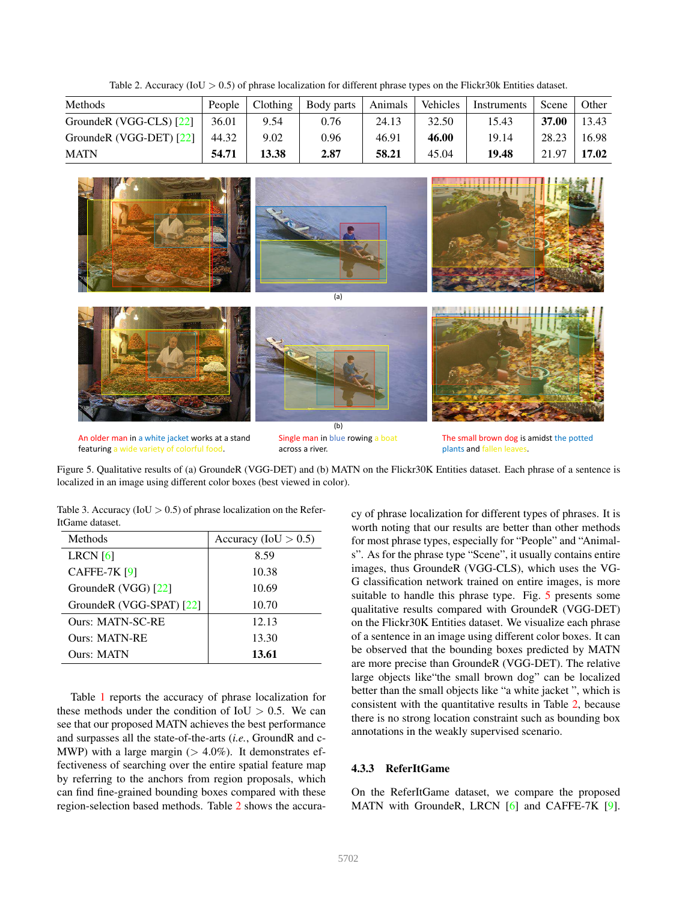<span id="page-6-1"></span>Table 2. Accuracy (IoU > 0.5) of phrase localization for different phrase types on the Flickr30k Entities dataset.

<span id="page-6-3"></span>

| Methods                   | People | Clothing | Body parts | Animals | Vehicles | Instruments | Scene | Other |
|---------------------------|--------|----------|------------|---------|----------|-------------|-------|-------|
| GroundeR (VGG-CLS) [22]   | 36.01  | 9.54     | 0.76       | 24.13   | 32.50    | 15.43       | 37.00 | 13.43 |
| GroundeR (VGG-DET) $[22]$ | 44.32  | 9.02     | 0.96       | 46.91   | 46.00    | 19.14       | 28.23 | 16.98 |
| <b>MATN</b>               | 54.71  | 13.38    | 2.87       | 58.21   | 45.04    | 19.48       | 21.97 | 17.02 |



featuring a wide variety of colorful food. across a river.

The small brown dog is amidst the potted plants and fallen leaves.

<span id="page-6-2"></span>Figure 5. Qualitative results of (a) GroundeR (VGG-DET) and (b) MATN on the Flickr30K Entities dataset. Each phrase of a sentence is localized in an image using different color boxes (best viewed in color).

<span id="page-6-0"></span>Table 3. Accuracy (IoU  $> 0.5$ ) of phrase localization on the Refer-ItGame dataset.

| Methods                  | Accuracy (IoU $> 0.5$ ) |
|--------------------------|-------------------------|
| LRCN $[6]$               | 8.59                    |
| <b>CAFFE-7K [9]</b>      | 10.38                   |
| GroundeR (VGG) [22]      | 10.69                   |
| GroundeR (VGG-SPAT) [22] | 10.70                   |
| <b>Ours: MATN-SC-RE</b>  | 12.13                   |
| <b>Ours: MATN-RE</b>     | 13.30                   |
| <b>Ours: MATN</b>        | 13.61                   |

Table [1](#page-5-0) reports the accuracy of phrase localization for these methods under the condition of  $IoU > 0.5$ . We can see that our proposed MATN achieves the best performance and surpasses all the state-of-the-arts (*i.e.*, GroundR and c-MWP) with a large margin  $(> 4.0\%)$ . It demonstrates effectiveness of searching over the entire spatial feature map by referring to the anchors from region proposals, which can find fine-grained bounding boxes compared with these region-selection based methods. Table [2](#page-6-1) shows the accuracy of phrase localization for different types of phrases. It is worth noting that our results are better than other methods for most phrase types, especially for "People" and "Animals". As for the phrase type "Scene", it usually contains entire images, thus GroundeR (VGG-CLS), which uses the VG-G classification network trained on entire images, is more suitable to handle this phrase type. Fig. [5](#page-6-2) presents some qualitative results compared with GroundeR (VGG-DET) on the Flickr30K Entities dataset. We visualize each phrase of a sentence in an image using different color boxes. It can be observed that the bounding boxes predicted by MATN are more precise than GroundeR (VGG-DET). The relative large objects like"the small brown dog" can be localized better than the small objects like "a white jacket ", which is consistent with the quantitative results in Table [2,](#page-6-1) because there is no strong location constraint such as bounding box annotations in the weakly supervised scenario.

#### 4.3.3 ReferItGame

On the ReferItGame dataset, we compare the proposed MATN with GroundeR, LRCN [\[6\]](#page-8-19) and CAFFE-7K [\[9\]](#page-8-28).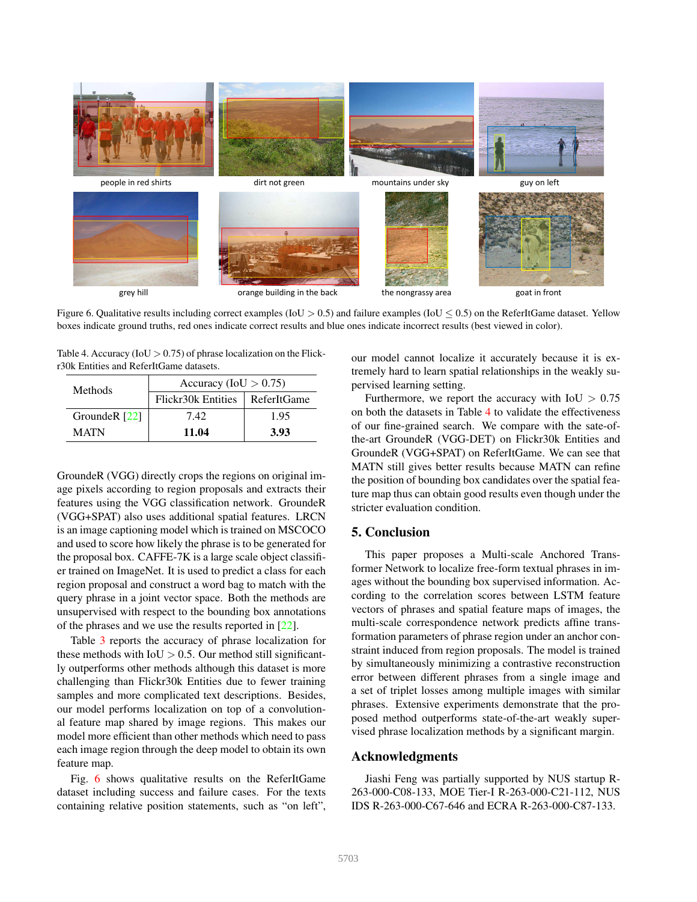<span id="page-7-2"></span>

Figure 6. Qualitative results including correct examples (IoU  $> 0.5$ ) and failure examples (IoU  $\leq 0.5$ ) on the ReferItGame dataset. Yellow boxes indicate ground truths, red ones indicate correct results and blue ones indicate incorrect results (best viewed in color).

<span id="page-7-1"></span><span id="page-7-0"></span>

| Table 4. Accuracy (IoU $> 0.75$ ) of phrase localization on the Flick- |
|------------------------------------------------------------------------|
| r30k Entities and ReferItGame datasets.                                |

| Methods         | Accuracy (IoU $> 0.75$ ) |             |  |  |
|-----------------|--------------------------|-------------|--|--|
|                 | Flickr30k Entities       | ReferItGame |  |  |
| GroundeR $[22]$ | 7.42                     | 1.95        |  |  |
| MATN            | 11.04                    | 3.93        |  |  |

GroundeR (VGG) directly crops the regions on original image pixels according to region proposals and extracts their features using the VGG classification network. GroundeR (VGG+SPAT) also uses additional spatial features. LRCN is an image captioning model which is trained on MSCOCO and used to score how likely the phrase is to be generated for the proposal box. CAFFE-7K is a large scale object classifier trained on ImageNet. It is used to predict a class for each region proposal and construct a word bag to match with the query phrase in a joint vector space. Both the methods are unsupervised with respect to the bounding box annotations of the phrases and we use the results reported in [\[22\]](#page-8-4).

Table [3](#page-6-0) reports the accuracy of phrase localization for these methods with  $IoU > 0.5$ . Our method still significantly outperforms other methods although this dataset is more challenging than Flickr30k Entities due to fewer training samples and more complicated text descriptions. Besides, our model performs localization on top of a convolutional feature map shared by image regions. This makes our model more efficient than other methods which need to pass each image region through the deep model to obtain its own feature map.

Fig. [6](#page-7-0) shows qualitative results on the ReferItGame dataset including success and failure cases. For the texts containing relative position statements, such as "on left",

our model cannot localize it accurately because it is extremely hard to learn spatial relationships in the weakly supervised learning setting.

Furthermore, we report the accuracy with  $IoU > 0.75$ on both the datasets in Table [4](#page-7-1) to validate the effectiveness of our fine-grained search. We compare with the sate-ofthe-art GroundeR (VGG-DET) on Flickr30k Entities and GroundeR (VGG+SPAT) on ReferItGame. We can see that MATN still gives better results because MATN can refine the position of bounding box candidates over the spatial feature map thus can obtain good results even though under the stricter evaluation condition.

# 5. Conclusion

This paper proposes a Multi-scale Anchored Transformer Network to localize free-form textual phrases in images without the bounding box supervised information. According to the correlation scores between LSTM feature vectors of phrases and spatial feature maps of images, the multi-scale correspondence network predicts affine transformation parameters of phrase region under an anchor constraint induced from region proposals. The model is trained by simultaneously minimizing a contrastive reconstruction error between different phrases from a single image and a set of triplet losses among multiple images with similar phrases. Extensive experiments demonstrate that the proposed method outperforms state-of-the-art weakly supervised phrase localization methods by a significant margin.

# Acknowledgments

Jiashi Feng was partially supported by NUS startup R-263-000-C08-133, MOE Tier-I R-263-000-C21-112, NUS IDS R-263-000-C67-646 and ECRA R-263-000-C87-133.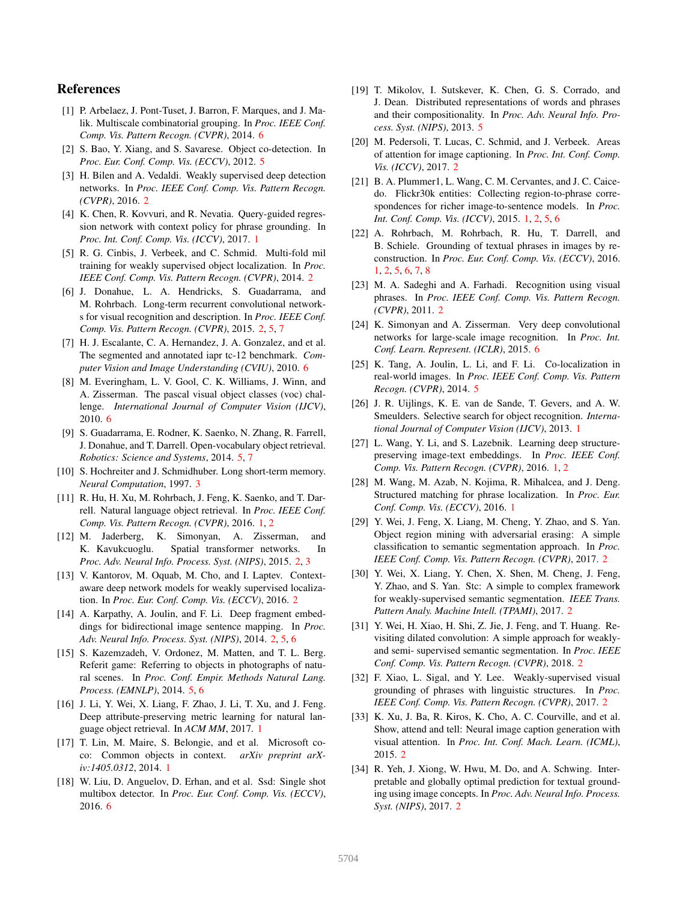## References

- <span id="page-8-33"></span>[1] P. Arbelaez, J. Pont-Tuset, J. Barron, F. Marques, and J. Malik. Multiscale combinatorial grouping. In *Proc. IEEE Conf. Comp. Vis. Pattern Recogn. (CVPR)*, 2014. [6](#page-5-1)
- <span id="page-8-26"></span>[2] S. Bao, Y. Xiang, and S. Savarese. Object co-detection. In *Proc. Eur. Conf. Comp. Vis. (ECCV)*, 2012. [5](#page-4-2)
- <span id="page-8-17"></span>[3] H. Bilen and A. Vedaldi. Weakly supervised deep detection networks. In *Proc. IEEE Conf. Comp. Vis. Pattern Recogn. (CVPR)*, 2016. [2](#page-1-0)
- <span id="page-8-6"></span>[4] K. Chen, R. Kovvuri, and R. Nevatia. Query-guided regression network with context policy for phrase grounding. In *Proc. Int. Conf. Comp. Vis. (ICCV)*, 2017. [1](#page-0-1)
- <span id="page-8-16"></span>[5] R. G. Cinbis, J. Verbeek, and C. Schmid. Multi-fold mil training for weakly supervised object localization. In *Proc. IEEE Conf. Comp. Vis. Pattern Recogn. (CVPR)*, 2014. [2](#page-1-0)
- <span id="page-8-19"></span>[6] J. Donahue, L. A. Hendricks, S. Guadarrama, and M. Rohrbach. Long-term recurrent convolutional networks for visual recognition and description. In *Proc. IEEE Conf. Comp. Vis. Pattern Recogn. (CVPR)*, 2015. [2,](#page-1-0) [5,](#page-4-2) [7](#page-6-3)
- <span id="page-8-29"></span>[7] H. J. Escalante, C. A. Hernandez, J. A. Gonzalez, and et al. The segmented and annotated iapr tc-12 benchmark. *Computer Vision and Image Understanding (CVIU)*, 2010. [6](#page-5-1)
- <span id="page-8-32"></span>[8] M. Everingham, L. V. Gool, C. K. Williams, J. Winn, and A. Zisserman. The pascal visual object classes (voc) challenge. *International Journal of Computer Vision (IJCV)*, 2010. [6](#page-5-1)
- <span id="page-8-28"></span>[9] S. Guadarrama, E. Rodner, K. Saenko, N. Zhang, R. Farrell, J. Donahue, and T. Darrell. Open-vocabulary object retrieval. *Robotics: Science and Systems*, 2014. [5,](#page-4-2) [7](#page-6-3)
- <span id="page-8-23"></span>[10] S. Hochreiter and J. Schmidhuber. Long short-term memory. *Neural Computation*, 1997. [3](#page-2-1)
- <span id="page-8-2"></span>[11] R. Hu, H. Xu, M. Rohrbach, J. Feng, K. Saenko, and T. Darrell. Natural language object retrieval. In *Proc. IEEE Conf. Comp. Vis. Pattern Recogn. (CVPR)*, 2016. [1,](#page-0-1) [2](#page-1-0)
- <span id="page-8-9"></span>[12] M. Jaderberg, K. Simonyan, A. Zisserman, and K. Kavukcuoglu. Spatial transformer networks. In *Proc. Adv. Neural Info. Process. Syst. (NIPS)*, 2015. [2,](#page-1-0) [3](#page-2-1)
- <span id="page-8-18"></span>[13] V. Kantorov, M. Oquab, M. Cho, and I. Laptev. Contextaware deep network models for weakly supervised localization. In *Proc. Eur. Conf. Comp. Vis. (ECCV)*, 2016. [2](#page-1-0)
- <span id="page-8-20"></span>[14] A. Karpathy, A. Joulin, and F. Li. Deep fragment embeddings for bidirectional image sentence mapping. In *Proc. Adv. Neural Info. Process. Syst. (NIPS)*, 2014. [2,](#page-1-0) [5,](#page-4-2) [6](#page-5-1)
- <span id="page-8-27"></span>[15] S. Kazemzadeh, V. Ordonez, M. Matten, and T. L. Berg. Referit game: Referring to objects in photographs of natural scenes. In *Proc. Conf. Empir. Methods Natural Lang. Process. (EMNLP)*, 2014. [5,](#page-4-2) [6](#page-5-1)
- <span id="page-8-5"></span>[16] J. Li, Y. Wei, X. Liang, F. Zhao, J. Li, T. Xu, and J. Feng. Deep attribute-preserving metric learning for natural language object retrieval. In *ACM MM*, 2017. [1](#page-0-1)
- <span id="page-8-8"></span>[17] T. Lin, M. Maire, S. Belongie, and et al. Microsoft coco: Common objects in context. *arXiv preprint arXiv:1405.0312*, 2014. [1](#page-0-1)
- <span id="page-8-31"></span>[18] W. Liu, D. Anguelov, D. Erhan, and et al. Ssd: Single shot multibox detector. In *Proc. Eur. Conf. Comp. Vis. (ECCV)*, 2016. [6](#page-5-1)
- <span id="page-8-24"></span>[19] T. Mikolov, I. Sutskever, K. Chen, G. S. Corrado, and J. Dean. Distributed representations of words and phrases and their compositionality. In *Proc. Adv. Neural Info. Process. Syst. (NIPS)*, 2013. [5](#page-4-2)
- <span id="page-8-22"></span>[20] M. Pedersoli, T. Lucas, C. Schmid, and J. Verbeek. Areas of attention for image captioning. In *Proc. Int. Conf. Comp. Vis. (ICCV)*, 2017. [2](#page-1-0)
- <span id="page-8-0"></span>[21] B. A. Plummer1, L. Wang, C. M. Cervantes, and J. C. Caicedo. Flickr30k entities: Collecting region-to-phrase correspondences for richer image-to-sentence models. In *Proc. Int. Conf. Comp. Vis. (ICCV)*, 2015. [1,](#page-0-1) [2,](#page-1-0) [5,](#page-4-2) [6](#page-5-1)
- <span id="page-8-4"></span>[22] A. Rohrbach, M. Rohrbach, R. Hu, T. Darrell, and B. Schiele. Grounding of textual phrases in images by reconstruction. In *Proc. Eur. Conf. Comp. Vis. (ECCV)*, 2016. [1,](#page-0-1) [2,](#page-1-0) [5,](#page-4-2) [6,](#page-5-1) [7,](#page-6-3) [8](#page-7-2)
- <span id="page-8-10"></span>[23] M. A. Sadeghi and A. Farhadi. Recognition using visual phrases. In *Proc. IEEE Conf. Comp. Vis. Pattern Recogn. (CVPR)*, 2011. [2](#page-1-0)
- <span id="page-8-30"></span>[24] K. Simonyan and A. Zisserman. Very deep convolutional networks for large-scale image recognition. In *Proc. Int. Conf. Learn. Represent. (ICLR)*, 2015. [6](#page-5-1)
- <span id="page-8-25"></span>[25] K. Tang, A. Joulin, L. Li, and F. Li. Co-localization in real-world images. In *Proc. IEEE Conf. Comp. Vis. Pattern Recogn. (CVPR)*, 2014. [5](#page-4-2)
- <span id="page-8-7"></span>[26] J. R. Uijlings, K. E. van de Sande, T. Gevers, and A. W. Smeulders. Selective search for object recognition. *International Journal of Computer Vision (IJCV)*, 2013. [1](#page-0-1)
- <span id="page-8-1"></span>[27] L. Wang, Y. Li, and S. Lazebnik. Learning deep structurepreserving image-text embeddings. In *Proc. IEEE Conf. Comp. Vis. Pattern Recogn. (CVPR)*, 2016. [1,](#page-0-1) [2](#page-1-0)
- <span id="page-8-3"></span>[28] M. Wang, M. Azab, N. Kojima, R. Mihalcea, and J. Deng. Structured matching for phrase localization. In *Proc. Eur. Conf. Comp. Vis. (ECCV)*, 2016. [1](#page-0-1)
- <span id="page-8-13"></span>[29] Y. Wei, J. Feng, X. Liang, M. Cheng, Y. Zhao, and S. Yan. Object region mining with adversarial erasing: A simple classification to semantic segmentation approach. In *Proc. IEEE Conf. Comp. Vis. Pattern Recogn. (CVPR)*, 2017. [2](#page-1-0)
- <span id="page-8-14"></span>[30] Y. Wei, X. Liang, Y. Chen, X. Shen, M. Cheng, J. Feng, Y. Zhao, and S. Yan. Stc: A simple to complex framework for weakly-supervised semantic segmentation. *IEEE Trans. Pattern Analy. Machine Intell. (TPAMI)*, 2017. [2](#page-1-0)
- <span id="page-8-15"></span>[31] Y. Wei, H. Xiao, H. Shi, Z. Jie, J. Feng, and T. Huang. Revisiting dilated convolution: A simple approach for weaklyand semi- supervised semantic segmentation. In *Proc. IEEE Conf. Comp. Vis. Pattern Recogn. (CVPR)*, 2018. [2](#page-1-0)
- <span id="page-8-12"></span>[32] F. Xiao, L. Sigal, and Y. Lee. Weakly-supervised visual grounding of phrases with linguistic structures. In *Proc. IEEE Conf. Comp. Vis. Pattern Recogn. (CVPR)*, 2017. [2](#page-1-0)
- <span id="page-8-21"></span>[33] K. Xu, J. Ba, R. Kiros, K. Cho, A. C. Courville, and et al. Show, attend and tell: Neural image caption generation with visual attention. In *Proc. Int. Conf. Mach. Learn. (ICML)*, 2015. [2](#page-1-0)
- <span id="page-8-11"></span>[34] R. Yeh, J. Xiong, W. Hwu, M. Do, and A. Schwing. Interpretable and globally optimal prediction for textual grounding using image concepts. In *Proc. Adv. Neural Info. Process. Syst. (NIPS)*, 2017. [2](#page-1-0)